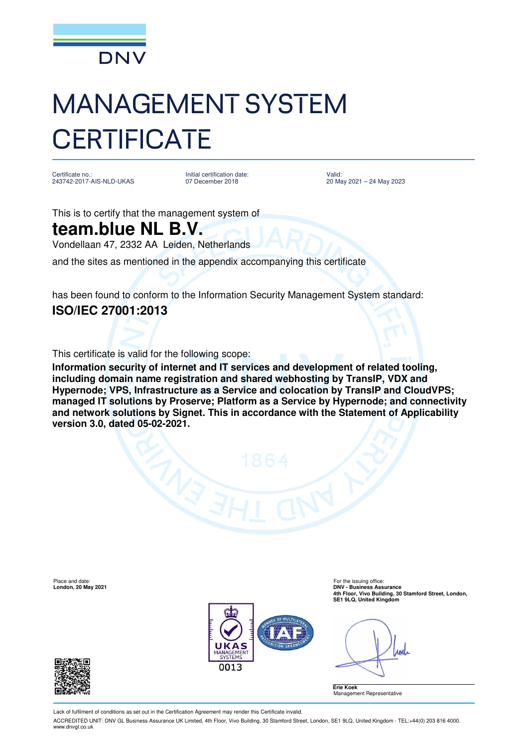

## MANAGEMENT SYSTEM **CERTIFICATE**

Certificate no.: 243742-2017-AIS-NLD-UKAS Initial certification date: 07 December 2018

Valid: 20 May 2021 – 24 May 2023

This is to certify that the management system of

## **team.blue NL B.V.**

Vondellaan 47, 2332 AA Leiden, Netherlands

and the sites as mentioned in the appendix accompanying this certificate

has been found to conform to the Information Security Management System standard: **ISO/IEC 27001:2013**

This certificate is valid for the following scope:

**Information security of internet and IT services and development of related tooling, including domain name registration and shared webhosting by TransIP, VDX and Hypernode; VPS, Infrastructure as a Service and colocation by TransIP and CloudVPS; managed IT solutions by Proserve; Platform as a Service by Hypernode; and connectivity and network solutions by Signet. This in accordance with the Statement of Applicability version 3.0, dated 05-02-2021.**

Place and date: For the issuing office<br> **Place and date:** For the issuing office<br> **Porton 20 May 2021** 



**London, 20 May 2021 DNV - Business Assurance 4th Floor, Vivo Building, 30 Stamford Street, London, SE1 9LQ, United Kingdom** 

Apel





Lack of fulfilment of conditions as set out in the Certification Agreement may render this Certificate invalid.

ACCREDITED UNIT: DNV GL Business Assurance UK Limited, 4th Floor, Vivo Building, 30 Stamford Street, London, SE1 9LQ, United Kingdom - TEL:+44(0) 203 816 4000. www.dnvgl.co.uk